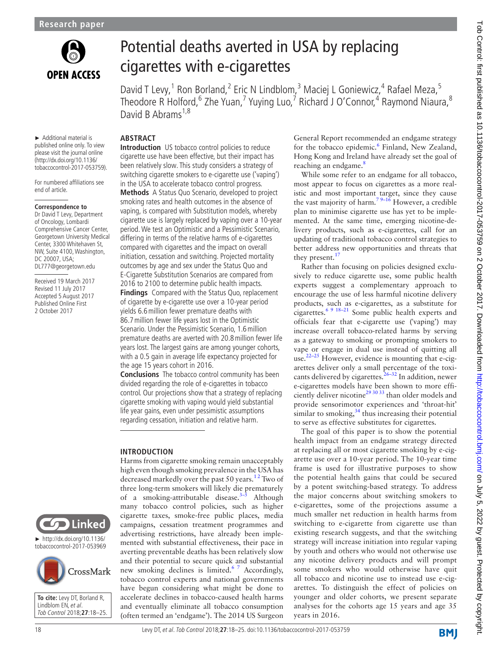

► Additional material is published online only. To view please visit the journal online (http://dx.doi.org/10.1136/ tobaccocontrol-2017-053759). For numbered affiliations see

end of article.

**Correspondence to** Dr David T Levy, Department of Oncology, Lombardi Comprehensive Cancer Center, Georgetown University Medical Center, 3300 Whitehaven St, NW, Suite 4100, Washington,

DC 20007, USA; DL777@georgetown.edu Received 19 March 2017 Revised 11 July 2017 Accepted 5 August 2017 Published Online First 2 October 2017

Potential deaths averted in USA by replacing cigarettes with e-cigarettes

David T Levy,<sup>1</sup> Ron Borland,<sup>2</sup> Eric N Lindblom,<sup>3</sup> Maciej L Goniewicz,<sup>4</sup> Rafael Meza,<sup>5</sup> Theodore R Holford,<sup>6</sup> Zhe Yuan,<sup>7</sup> Yuying Luo,<sup>7</sup> Richard J O'Connor,<sup>4</sup> Raymond Niaura,<sup>8</sup> David B Abrams<sup>1,8</sup>

# **Abstract**

**Introduction** US tobacco control policies to reduce cigarette use have been effective, but their impact has been relatively slow. This study considers a strategy of switching cigarette smokers to e-cigarette use ('vaping') in the USA to accelerate tobacco control progress.

**Methods** A Status Quo Scenario, developed to project smoking rates and health outcomes in the absence of vaping, is compared with Substitution models, whereby cigarette use is largely replaced by vaping over a 10-year period. We test an Optimistic and a Pessimistic Scenario, differing in terms of the relative harms of e-cigarettes compared with cigarettes and the impact on overall initiation, cessation and switching. Projected mortality outcomes by age and sex under the Status Quo and E-Cigarette Substitution Scenarios are compared from 2016 to 2100 to determine public health impacts.

**Findings** Compared with the Status Quo, replacement of cigarette by e-cigarette use over a 10-year period yields 6.6million fewer premature deaths with 86.7million fewer life years lost in the Optimistic Scenario. Under the Pessimistic Scenario, 1.6million premature deaths are averted with 20.8million fewer life years lost. The largest gains are among younger cohorts, with a 0.5 gain in average life expectancy projected for the age 15 years cohort in 2016.

**Conclusions** The tobacco control community has been divided regarding the role of e-cigarettes in tobacco control. Our projections show that a strategy of replacing cigarette smoking with vaping would yield substantial life year gains, even under pessimistic assumptions regarding cessation, initiation and relative harm.

## **Introduction**

Harms from cigarette smoking remain unacceptably high even though smoking prevalence in the USA has decreased markedly over the past 50 years.<sup>12</sup> Two of three long-term smokers will likely die prematurely of a smoking-attributable disease. $3-5$  Although many tobacco control policies, such as higher cigarette taxes, smoke-free public places, media campaigns, cessation treatment programmes and advertising restrictions, have already been implemented with substantial effectiveness, their pace in averting preventable deaths has been relatively slow and their potential to secure quick and substantial new smoking declines is limited.<sup>6 7</sup> Accordingly, tobacco control experts and national governments have begun considering what might be done to accelerate declines in tobacco-caused health harms and eventually eliminate all tobacco consumption (often termed an 'endgame'). The 2014 US Surgeon General Report recommended an endgame strategy for the tobacco epidemic.<sup>6</sup> Finland, New Zealand, Hong Kong and Ireland have already set the goal of reaching an endgame.<sup>[8](#page-6-3)</sup>

While some refer to an endgame for all tobacco, most appear to focus on cigarettes as a more realistic and most important target, since they cause the vast majority of harm.<sup>79-16</sup> However, a credible plan to minimise cigarette use has yet to be implemented. At the same time, emerging nicotine-delivery products, such as e-cigarettes, call for an updating of traditional tobacco control strategies to better address new opportunities and threats that they present.<sup>[17](#page-6-5)</sup>

Rather than focusing on policies designed exclusively to reduce cigarette use, some public health experts suggest a complementary approach to encourage the use of less harmful nicotine delivery products, such as e-cigarettes, as a substitute for cigarettes.<sup>6 9 18–21</sup> Some public health experts and officials fear that e-cigarette use ('vaping') may increase overall tobacco-related harms by serving as a gateway to smoking or prompting smokers to vape or engage in dual use instead of quitting all use. $^{22-25}$  However, evidence is mounting that e-cigarettes deliver only a small percentage of the toxicants delivered by cigarettes.<sup>26-32</sup> In addition, newer e-cigarettes models have been shown to more efficiently deliver nicotine<sup>29 30 33</sup> than older models and provide sensorimotor experiences and 'throat-hit' similar to smoking, $34$  thus increasing their potential to serve as effective substitutes for cigarettes.

The goal of this paper is to show the potential health impact from an endgame strategy directed at replacing all or most cigarette smoking by e-cigarette use over a 10-year period. The 10-year time frame is used for illustrative purposes to show the potential health gains that could be secured by a potent switching-based strategy. To address the major concerns about switching smokers to e-cigarettes, some of the projections assume a much smaller net reduction in health harms from switching to e-cigarette from cigarette use than existing research suggests, and that the switching strategy will increase initiation into regular vaping by youth and others who would not otherwise use any nicotine delivery products and will prompt some smokers who would otherwise have quit all tobacco and nicotine use to instead use e-cigarettes. To distinguish the effect of policies on younger and older cohorts, we present separate analyses for the cohorts age 15 years and age 35 years in 2016.

Linked

► [http://dx.doi.org/10.1136/](http://dx.doi.org/10.1136/tobaccocontrol-2017-053969) [tobaccocontrol-2017-053969](http://dx.doi.org/10.1136/tobaccocontrol-2017-053969)



**To cite:** Levy DT, Borland R, Lindblom EN, et al. Tob Control 2018;**27**:18–25.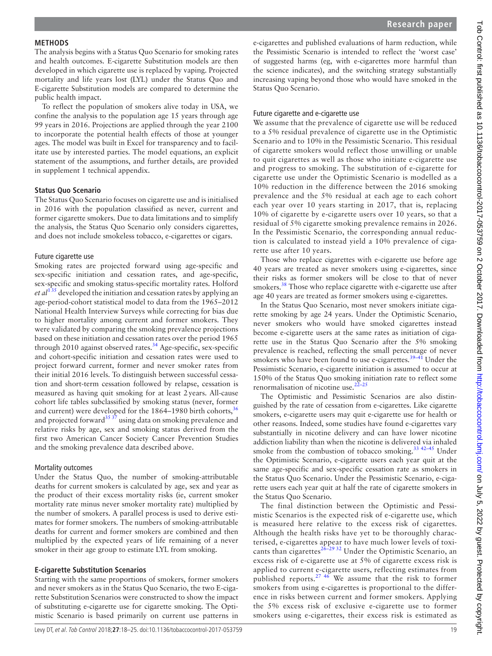### **Methods**

The analysis begins with a Status Quo Scenario for smoking rates and health outcomes. E-cigarette Substitution models are then developed in which cigarette use is replaced by vaping. Projected mortality and life years lost (LYL) under the Status Quo and E-cigarette Substitution models are compared to determine the public health impact.

To reflect the population of smokers alive today in USA, we confine the analysis to the population age 15 years through age 99 years in 2016. Projections are applied through the year 2100 to incorporate the potential health effects of those at younger ages. The model was built in Excel for transparency and to facilitate use by interested parties. The model equations, an explicit statement of the assumptions, and further details, are provided in [supplement 1 technical appendix](https://dx.doi.org/10.1136/tobaccocontrol-2017-053759).

### **Status Quo Scenario**

The Status Quo Scenario focuses on cigarette use and is initialised in 2016 with the population classified as never, current and former cigarette smokers. Due to data limitations and to simplify the analysis, the Status Quo Scenario only considers cigarettes, and does not include smokeless tobacco, e-cigarettes or cigars.

### Future cigarette use

Smoking rates are projected forward using age-specific and sex-specific initiation and cessation rates, and age-specific, sex-specific and smoking status-specific mortality rates. Holford *et al*[1 35](#page-6-0) developed the initiation and cessation rates by applying an age-period-cohort statistical model to data from the 1965–2012 National Health Interview Surveys while correcting for bias due to higher mortality among current and former smokers. They were validated by comparing the smoking prevalence projections based on these initiation and cessation rates over the period 1965 through 2010 against observed rates.<sup>[34](#page-7-3)</sup> Age-specific, sex-specific and cohort-specific initiation and cessation rates were used to project forward current, former and never smoker rates from their initial 2016 levels. To distinguish between successful cessation and short-term cessation followed by relapse, cessation is measured as having quit smoking for at least 2years. All-cause cohort life tables subclassified by smoking status (never, former and current) were developed for the  $1864-1980$  birth cohorts,  $36$ and projected forward $3537$  using data on smoking prevalence and relative risks by age, sex and smoking status derived from the first two American Cancer Society Cancer Prevention Studies and the smoking prevalence data described above.

### Mortality outcomes

Under the Status Quo, the number of smoking-attributable deaths for current smokers is calculated by age, sex and year as the product of their excess mortality risks (ie, current smoker mortality rate minus never smoker mortality rate) multiplied by the number of smokers. A parallel process is used to derive estimates for former smokers. The numbers of smoking-attributable deaths for current and former smokers are combined and then multiplied by the expected years of life remaining of a never smoker in their age group to estimate LYL from smoking.

### **E-cigarette Substitution Scenarios**

Starting with the same proportions of smokers, former smokers and never smokers as in the Status Quo Scenario, the two E-cigarette Substitution Scenarios were constructed to show the impact of substituting e-cigarette use for cigarette smoking. The Optimistic Scenario is based primarily on current use patterns in

e-cigarettes and published evaluations of harm reduction, while the Pessimistic Scenario is intended to reflect the 'worst case' of suggested harms (eg, with e-cigarettes more harmful than the science indicates), and the switching strategy substantially increasing vaping beyond those who would have smoked in the Status Quo Scenario.

### Future cigarette and e-cigarette use

We assume that the prevalence of cigarette use will be reduced to a 5% residual prevalence of cigarette use in the Optimistic Scenario and to 10% in the Pessimistic Scenario. This residual of cigarette smokers would reflect those unwilling or unable to quit cigarettes as well as those who initiate e-cigarette use and progress to smoking. The substitution of e-cigarette for cigarette use under the Optimistic Scenario is modelled as a 10% reduction in the difference between the 2016 smoking prevalence and the 5% residual at each age to each cohort each year over 10 years starting in 2017, that is, replacing 10% of cigarette by e-cigarette users over 10 years, so that a residual of 5% cigarette smoking prevalence remains in 2026. In the Pessimistic Scenario, the corresponding annual reduction is calculated to instead yield a 10% prevalence of cigarette use after 10 years.

Those who replace cigarettes with e-cigarette use before age 40 years are treated as never smokers using e-cigarettes, since their risks as former smokers will be close to that of never smokers.<sup>[38](#page-7-6)</sup> Those who replace cigarette with e-cigarette use after age 40 years are treated as former smokers using e-cigarettes.

In the Status Quo Scenario, most never smokers initiate cigarette smoking by age 24 years. Under the Optimistic Scenario, never smokers who would have smoked cigarettes instead become e-cigarette users at the same rates as initiation of cigarette use in the Status Quo Scenario after the 5% smoking prevalence is reached, reflecting the small percentage of never smokers who have been found to use e-cigarettes. $39-41$  Under the Pessimistic Scenario, e-cigarette initiation is assumed to occur at 150% of the Status Quo smoking initiation rate to reflect some renormalisation of nicotine use. $22-25$ 

The Optimistic and Pessimistic Scenarios are also distinguished by the rate of cessation from e-cigarettes. Like cigarette smokers, e-cigarette users may quit e-cigarette use for health or other reasons. Indeed, some studies have found e-cigarettes vary substantially in nicotine delivery and can have lower nicotine addiction liability than when the nicotine is delivered via inhaled smoke from the combustion of tobacco smoking.<sup>33 42-45</sup> Under the Optimistic Scenario, e-cigarette users each year quit at the same age-specific and sex-specific cessation rate as smokers in the Status Quo Scenario. Under the Pessimistic Scenario, e-cigarette users each year quit at half the rate of cigarette smokers in the Status Quo Scenario.

The final distinction between the Optimistic and Pessimistic Scenarios is the expected risk of e-cigarette use, which is measured here relative to the excess risk of cigarettes. Although the health risks have yet to be thoroughly characterised, e-cigarettes appear to have much lower levels of toxicants than cigarettes $26-29$  32 Under the Optimistic Scenario, an excess risk of e-cigarette use at 5% of cigarette excess risk is applied to current e-cigarette users, reflecting estimates from published reports.<sup>27</sup> <sup>46</sup> We assume that the risk to former smokers from using e-cigarettes is proportional to the difference in risks between current and former smokers. Applying the 5% excess risk of exclusive e-cigarette use to former smokers using e-cigarettes, their excess risk is estimated as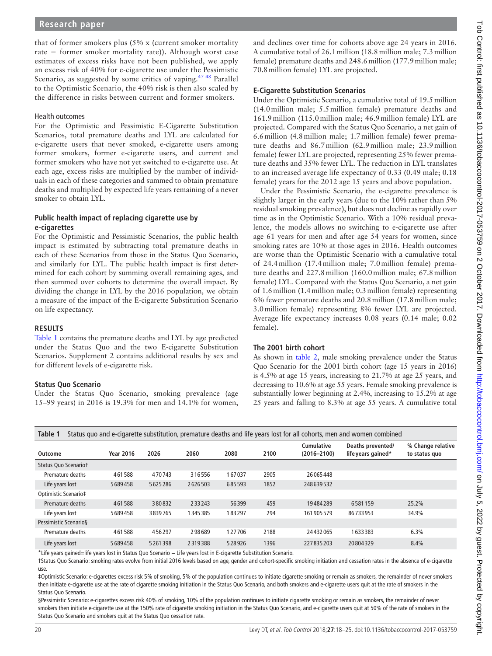that of former smokers plus (5% x (current smoker mortality rate − former smoker mortality rate)). Although worst case estimates of excess risks have not been published, we apply an excess risk of 40% for e-cigarette use under the Pessimistic Scenario, as suggested by some critics of vaping.<sup>47 48</sup> Parallel to the Optimistic Scenario, the 40% risk is then also scaled by the difference in risks between current and former smokers.

### Health outcomes

For the Optimistic and Pessimistic E-Cigarette Substitution Scenarios, total premature deaths and LYL are calculated for e-cigarette users that never smoked, e-cigarette users among former smokers, former e-cigarette users, and current and former smokers who have not yet switched to e-cigarette use. At each age, excess risks are multiplied by the number of individuals in each of these categories and summed to obtain premature deaths and multiplied by expected life years remaining of a never smoker to obtain LYL.

## **Public health impact of replacing cigarette use by e-cigarettes**

For the Optimistic and Pessimistic Scenarios, the public health impact is estimated by subtracting total premature deaths in each of these Scenarios from those in the Status Quo Scenario, and similarly for LYL. The public health impact is first determined for each cohort by summing overall remaining ages, and then summed over cohorts to determine the overall impact. By dividing the change in LYL by the 2016 population, we obtain a measure of the impact of the E-cigarette Substitution Scenario on life expectancy.

## **Results**

[Table](#page-2-0) 1 contains the premature deaths and LYL by age predicted under the Status Quo and the two E-cigarette Substitution Scenarios. [Supplement 2](https://dx.doi.org/10.1136/tobaccocontrol-2017-053759) contains additional results by sex and for different levels of e-cigarette risk.

## **Status Quo Scenario**

Under the Status Quo Scenario, smoking prevalence (age 15–99 years) in 2016 is 19.3% for men and 14.1% for women,

and declines over time for cohorts above age 24 years in 2016. A cumulative total of 26.1million (18.8million male; 7.3million female) premature deaths and 248.6million (177.9million male; 70.8million female) LYL are projected.

## **E-Cigarette Substitution Scenarios**

Under the Optimistic Scenario, a cumulative total of 19.5million (14.0million male; 5.5million female) premature deaths and 161.9million (115.0million male; 46.9million female) LYL are projected. Compared with the Status Quo Scenario, a net gain of 6.6million (4.8million male; 1.7million female) fewer premature deaths and 86.7million (62.9million male; 23.9million female) fewer LYL are projected, representing 25% fewer premature deaths and 35% fewer LYL. The reduction in LYL translates to an increased average life expectancy of 0.33 (0.49 male; 0.18 female) years for the 2012 age 15 years and above population.

Under the Pessimistic Scenario, the e-cigarette prevalence is slightly larger in the early years (due to the 10% rather than 5% residual smoking prevalence), but does not decline as rapidly over time as in the Optimistic Scenario. With a 10% residual prevalence, the models allows no switching to e-cigarette use after age 61 years for men and after age 54 years for women, since smoking rates are 10% at those ages in 2016. Health outcomes are worse than the Optimistic Scenario with a cumulative total of 24.4million (17.4million male; 7.0million female) premature deaths and 227.8million (160.0million male; 67.8million female) LYL. Compared with the Status Quo Scenario, a net gain of 1.6million (1.4million male; 0.3million female) representing 6% fewer premature deaths and 20.8million (17.8million male; 3.0million female) representing 8% fewer LYL are projected. Average life expectancy increases 0.08 years (0.14 male; 0.02 female).

# **The 2001 birth cohort**

As shown in [table](#page-3-0) 2, male smoking prevalence under the Status Quo Scenario for the 2001 birth cohort (age 15 years in 2016) is 4.5% at age 15 years, increasing to 21.7% at age 25 years, and decreasing to 10.6% at age 55 years. Female smoking prevalence is substantially lower beginning at 2.4%, increasing to 15.2% at age 25 years and falling to 8.3% at age 55 years. A cumulative total

<span id="page-2-0"></span>

| Table 1<br>Status quo and e-cigarette substitution, premature deaths and life years lost for all cohorts, men and women combined |                  |         |         |        |      |                               |                                         |                                    |
|----------------------------------------------------------------------------------------------------------------------------------|------------------|---------|---------|--------|------|-------------------------------|-----------------------------------------|------------------------------------|
| Outcome                                                                                                                          | <b>Year 2016</b> | 2026    | 2060    | 2080   | 2100 | Cumulative<br>$(2016 - 2100)$ | Deaths prevented/<br>life years gained* | % Change relative<br>to status quo |
| Status Quo Scenariot                                                                                                             |                  |         |         |        |      |                               |                                         |                                    |
| Premature deaths                                                                                                                 | 461588           | 470743  | 316556  | 167037 | 2905 | 26065448                      |                                         |                                    |
| Life years lost                                                                                                                  | 5689458          | 5625286 | 2626503 | 685593 | 1852 | 248639532                     |                                         |                                    |
| Optimistic Scenario‡                                                                                                             |                  |         |         |        |      |                               |                                         |                                    |
| Premature deaths                                                                                                                 | 461588           | 380832  | 233243  | 56399  | 459  | 19484289                      | 6581159                                 | 25.2%                              |
| Life years lost                                                                                                                  | 5689458          | 3839765 | 1345385 | 183297 | 294  | 161 905 579                   | 86733953                                | 34.9%                              |
| Pessimistic Scenario§                                                                                                            |                  |         |         |        |      |                               |                                         |                                    |
| Premature deaths                                                                                                                 | 461588           | 456297  | 298689  | 127706 | 2188 | 24 4 32 0 65                  | 1633383                                 | 6.3%                               |
| Life years lost                                                                                                                  | 5689458          | 5261398 | 2319388 | 528926 | 1396 | 227835203                     | 20804329                                | 8.4%                               |

\*Life years gained=life years lost in Status Quo Scenario − Life years lost in E-cigarette Substitution Scenario.

†Status Quo Scenario: smoking rates evolve from initial 2016 levels based on age, gender and cohort-specific smoking initiation and cessation rates in the absence of e-cigarette use.

‡Optimistic Scenario: e-cigarettes excess risk 5% of smoking, 5% of the population continues to initiate cigarette smoking or remain as smokers, the remainder of never smokers then initiate e-cigarette use at the rate of cigarette smoking initiation in the Status Quo Scenario, and both smokers and e-cigarette users quit at the rate of smokers in the Status Quo Scenario.

§Pessimistic Scenario: e-cigarettes excess risk 40% of smoking, 10% of the population continues to initiate cigarette smoking or remain as smokers, the remainder of never smokers then initiate e-cigarette use at the 150% rate of cigarette smoking initiation in the Status Quo Scenario, and e-cigarette users quit at 50% of the rate of smokers in the Status Quo Scenario and smokers quit at the Status Quo cessation rate.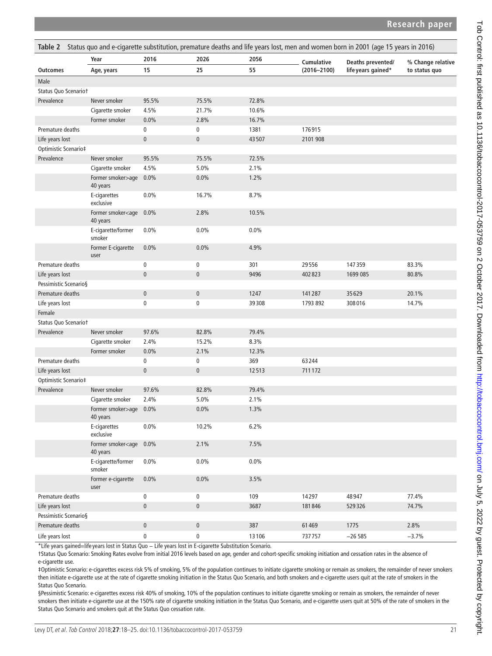# **Research paper**

<span id="page-3-0"></span>

| Table 2 Status quo and e-cigarette substitution, premature deaths and life years lost, men and women born in 2001 (age 15 years in 2016) |                                              |              |                |         |                 |                    |                   |  |
|------------------------------------------------------------------------------------------------------------------------------------------|----------------------------------------------|--------------|----------------|---------|-----------------|--------------------|-------------------|--|
|                                                                                                                                          | Year                                         | 2016         | 2026           | 2056    | Cumulative      | Deaths prevented/  | % Change relative |  |
| <b>Outcomes</b>                                                                                                                          | Age, years                                   | 15           | 25             | 55      | $(2016 - 2100)$ | life years gained* | to status quo     |  |
| Male                                                                                                                                     |                                              |              |                |         |                 |                    |                   |  |
| Status Quo Scenariot                                                                                                                     |                                              |              |                |         |                 |                    |                   |  |
| Prevalence                                                                                                                               | Never smoker                                 | 95.5%        | 75.5%          | 72.8%   |                 |                    |                   |  |
|                                                                                                                                          | Cigarette smoker                             | 4.5%         | 21.7%          | 10.6%   |                 |                    |                   |  |
|                                                                                                                                          | Former smoker                                | 0.0%         | 2.8%           | 16.7%   |                 |                    |                   |  |
| Premature deaths                                                                                                                         |                                              | 0            | 0              | 1381    | 176915          |                    |                   |  |
| Life years lost                                                                                                                          |                                              | $\pmb{0}$    | $\mathbf 0$    | 43507   | 2101 908        |                    |                   |  |
| Optimistic Scenario‡                                                                                                                     |                                              |              |                |         |                 |                    |                   |  |
| Prevalence                                                                                                                               | Never smoker                                 | 95.5%        | 75.5%          | 72.5%   |                 |                    |                   |  |
|                                                                                                                                          | Cigarette smoker                             | 4.5%         | 5.0%           | 2.1%    |                 |                    |                   |  |
|                                                                                                                                          | Former smoker>age 0.0%<br>40 years           |              | 0.0%           | 1.2%    |                 |                    |                   |  |
|                                                                                                                                          | E-cigarettes<br>exclusive                    | 0.0%         | 16.7%          | 8.7%    |                 |                    |                   |  |
|                                                                                                                                          | Former smoker <age<br>40 years</age<br>      | 0.0%         | 2.8%           | 10.5%   |                 |                    |                   |  |
|                                                                                                                                          | E-cigarette/former<br>smoker                 | 0.0%         | 0.0%           | 0.0%    |                 |                    |                   |  |
|                                                                                                                                          | Former E-cigarette<br>user                   | 0.0%         | 0.0%           | 4.9%    |                 |                    |                   |  |
| Premature deaths                                                                                                                         |                                              | 0            | 0              | 301     | 29556           | 147359             | 83.3%             |  |
| Life years lost                                                                                                                          |                                              | $\mathbf{0}$ | $\overline{0}$ | 9496    | 402823          | 1699 085           | 80.8%             |  |
| Pessimistic Scenario§                                                                                                                    |                                              |              |                |         |                 |                    |                   |  |
| Premature deaths                                                                                                                         |                                              | $\pmb{0}$    | $\pmb{0}$      | 1247    | 141287          | 35629              | 20.1%             |  |
| Life years lost                                                                                                                          |                                              | $\pmb{0}$    | 0              | 39308   | 1793 892        | 308016             | 14.7%             |  |
| Female                                                                                                                                   |                                              |              |                |         |                 |                    |                   |  |
| Status Quo Scenariot                                                                                                                     |                                              |              |                |         |                 |                    |                   |  |
| Prevalence                                                                                                                               | Never smoker                                 | 97.6%        | 82.8%          | 79.4%   |                 |                    |                   |  |
|                                                                                                                                          | Cigarette smoker                             | 2.4%         | 15.2%          | 8.3%    |                 |                    |                   |  |
|                                                                                                                                          | Former smoker                                | 0.0%         | 2.1%           | 12.3%   |                 |                    |                   |  |
| Premature deaths                                                                                                                         |                                              | $\pmb{0}$    | 0              | 369     | 63244           |                    |                   |  |
| Life years lost                                                                                                                          |                                              | $\pmb{0}$    | $\pmb{0}$      | 12513   | 711172          |                    |                   |  |
| Optimistic Scenario‡                                                                                                                     |                                              |              |                |         |                 |                    |                   |  |
| Prevalence                                                                                                                               | Never smoker                                 | 97.6%        | 82.8%          | 79.4%   |                 |                    |                   |  |
|                                                                                                                                          | Cigarette smoker                             | 2.4%         | 5.0%           | 2.1%    |                 |                    |                   |  |
|                                                                                                                                          | Former smoker>age<br>40 years                | $0.0\%$      | 0.0%           | 1.3%    |                 |                    |                   |  |
|                                                                                                                                          | E-cigarettes<br>exclusive                    | 0.0%         | 10.2%          | 6.2%    |                 |                    |                   |  |
|                                                                                                                                          | Former smoker <age 0.0%<br="">40 years</age> |              | 2.1%           | 7.5%    |                 |                    |                   |  |
|                                                                                                                                          | E-cigarette/former<br>smoker                 | 0.0%         | $0.0\%$        | $0.0\%$ |                 |                    |                   |  |
|                                                                                                                                          | Former e-cigarette<br>user                   | 0.0%         | 0.0%           | 3.5%    |                 |                    |                   |  |
| Premature deaths                                                                                                                         |                                              | $\pmb{0}$    | 0              | 109     | 14297           | 48947              | 77.4%             |  |
| Life years lost                                                                                                                          |                                              | $\pmb{0}$    | $\mathsf{0}$   | 3687    | 181846          | 529326             | 74.7%             |  |
| Pessimistic Scenario§                                                                                                                    |                                              |              |                |         |                 |                    |                   |  |
| Premature deaths                                                                                                                         |                                              | $\pmb{0}$    | $\mathsf{0}$   | 387     | 61469           | 1775               | 2.8%              |  |
| Life years lost                                                                                                                          |                                              | $\pmb{0}$    | $\pmb{0}$      | 13106   | 737757          | $-26585$           | $-3.7%$           |  |

\*Life years gained=life years lost in Status Quo − Life years lost in E-cigarette Substitution Scenario.

†Status Quo Scenario: Smoking Rates evolve from initial 2016 levels based on age, gender and cohort-specific smoking initiation and cessation rates in the absence of e-cigarette use.

‡Optimistic Scenario: e-cigarettes excess risk 5% of smoking, 5% of the population continues to initiate cigarette smoking or remain as smokers, the remainder of never smokers then initiate e-cigarette use at the rate of cigarette smoking initiation in the Status Quo Scenario, and both smokers and e-cigarette users quit at the rate of smokers in the Status Quo Scenario.

§Pessimistic Scenario: e-cigarettes excess risk 40% of smoking, 10% of the population continues to initiate cigarette smoking or remain as smokers, the remainder of never smokers then initiate e-cigarette use at the 150% rate of cigarette smoking initiation in the Status Quo Scenario, and e-cigarette users quit at 50% of the rate of smokers in the Status Quo Scenario and smokers quit at the Status Quo cessation rate.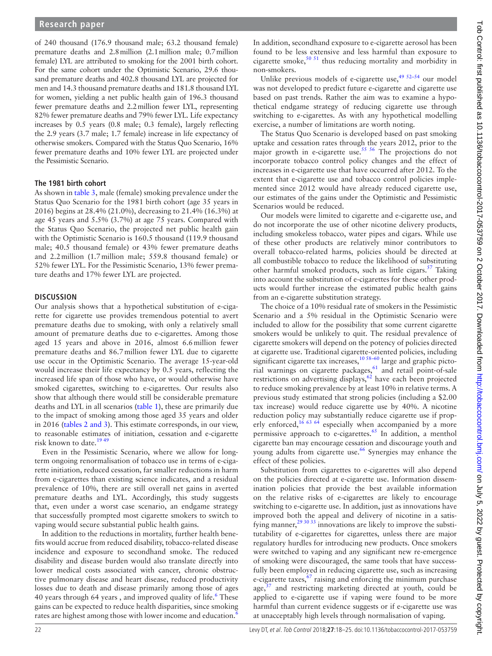of 240 thousand (176.9 thousand male; 63.2 thousand female) premature deaths and 2.8million (2.1million male; 0.7million female) LYL are attributed to smoking for the 2001 birth cohort. For the same cohort under the Optimistic Scenario, 29.6 thousand premature deaths and 402.8 thousand LYL are projected for men and 14.3 thousand premature deaths and 181.8 thousand LYL for women, yielding a net public health gain of 196.3 thousand fewer premature deaths and 2.2million fewer LYL, representing 82% fewer premature deaths and 79% fewer LYL. Life expectancy increases by 0.5 years (0.8 male; 0.3 female), largely reflecting the 2.9 years (3.7 male; 1.7 female) increase in life expectancy of otherwise smokers. Compared with the Status Quo Scenario, 16% fewer premature deaths and 10% fewer LYL are projected under the Pessimistic Scenario.

### **The 1981 birth cohort**

As shown in [table](#page-5-0) 3, male (female) smoking prevalence under the Status Quo Scenario for the 1981 birth cohort (age 35 years in 2016) begins at 28.4% (21.0%), decreasing to 21.4% (16.3%) at age 45 years and 5.5% (3.7%) at age 75 years. Compared with the Status Quo Scenario, the projected net public health gain with the Optimistic Scenario is 160.5 thousand (119.9 thousand male; 40.5 thousand female) or 43% fewer premature deaths and 2.2million (1.7million male; 559.8 thousand female) or 52% fewer LYL. For the Pessimistic Scenario, 13% fewer premature deaths and 17% fewer LYL are projected.

### **Discussion**

Our analysis shows that a hypothetical substitution of e-cigarette for cigarette use provides tremendous potential to avert premature deaths due to smoking, with only a relatively small amount of premature deaths due to e-cigarettes. Among those aged 15 years and above in 2016, almost 6.6million fewer premature deaths and 86.7million fewer LYL due to cigarette use occur in the Optimistic Scenario. The average 15-year-old would increase their life expectancy by 0.5 years, reflecting the increased life span of those who have, or would otherwise have smoked cigarettes, switching to e-cigarettes. Our results also show that although there would still be considerable premature deaths and LYL in all scenarios ([table](#page-2-0) 1), these are primarily due to the impact of smoking among those aged 35 years and older in 2016 (tables [2 and 3\)](#page-3-0). This estimate corresponds, in our view, to reasonable estimates of initiation, cessation and e-cigarette risk known to date.<sup>1949</sup>

Even in the Pessimistic Scenario, where we allow for longterm ongoing renormalisation of tobacco use in terms of e-cigarette initiation, reduced cessation, far smaller reductions in harm from e-cigarettes than existing science indicates, and a residual prevalence of 10%, there are still overall net gains in averted premature deaths and LYL. Accordingly, this study suggests that, even under a worst case scenario, an endgame strategy that successfully prompted most cigarette smokers to switch to vaping would secure substantial public health gains.

In addition to the reductions in mortality, further health benefits would accrue from reduced disability, tobacco-related disease incidence and exposure to secondhand smoke. The reduced disability and disease burden would also translate directly into lower medical costs associated with cancer, chronic obstructive pulmonary disease and heart disease, reduced productivity losses due to death and disease primarily among those of ages 40 years through 64 years, and improved quality of life.<sup>6</sup> These gains can be expected to reduce health disparities, since smoking rates are highest among those with lower income and education.<sup>[6](#page-6-2)</sup>

In addition, secondhand exposure to e-cigarette aerosol has been found to be less extensive and less harmful than exposure to cigarette smoke,<sup>50 51</sup> thus reducing mortality and morbidity in non-smokers.

Unlike previous models of e-cigarette use, $4952-54$  our model was not developed to predict future e-cigarette and cigarette use based on past trends. Rather the aim was to examine a hypothetical endgame strategy of reducing cigarette use through switching to e-cigarettes. As with any hypothetical modelling exercise, a number of limitations are worth noting.

The Status Quo Scenario is developed based on past smoking uptake and cessation rates through the years 2012, prior to the major growth in e-cigarette use.<sup>[55 56](#page-7-13)</sup> The projections do not incorporate tobacco control policy changes and the effect of increases in e-cigarette use that have occurred after 2012. To the extent that e-cigarette use and tobacco control policies implemented since 2012 would have already reduced cigarette use, our estimates of the gains under the Optimistic and Pessimistic Scenarios would be reduced.

Our models were limited to cigarette and e-cigarette use, and do not incorporate the use of other nicotine delivery products, including smokeless tobacco, water pipes and cigars. While use of these other products are relatively minor contributors to overall tobacco-related harms, policies should be directed at all combustible tobacco to reduce the likelihood of substituting other harmful smoked products, such as little cigars.<sup>57</sup> Taking into account the substitution of e-cigarettes for these other products would further increase the estimated public health gains from an e-cigarette substitution strategy.

The choice of a 10% residual rate of smokers in the Pessimistic Scenario and a 5% residual in the Optimistic Scenario were included to allow for the possibility that some current cigarette smokers would be unlikely to quit. The residual prevalence of cigarette smokers will depend on the potency of policies directed at cigarette use. Traditional cigarette-oriented policies, including significant cigarette tax increases, $10\,58-60$  large and graphic pictorial warnings on cigarette packages,<sup>61</sup> and retail point-of-sale restrictions on advertising displays,<sup>62</sup> have each been projected to reduce smoking prevalence by at least 10% in relative terms. A previous study estimated that strong policies (including a \$2.00 tax increase) would reduce cigarette use by 40%. A nicotine reduction policy may substantially reduce cigarette use if properly enforced,  $16\,63\,64$  especially when accompanied by a more permissive approach to e-cigarettes.<sup>65</sup> In addition, a menthol cigarette ban may encourage cessation and discourage youth and young adults from cigarette use.<sup>[66](#page-7-18)</sup> Synergies may enhance the effect of these policies.

Substitution from cigarettes to e-cigarettes will also depend on the policies directed at e-cigarette use. Information dissemination policies that provide the best available information on the relative risks of e-cigarettes are likely to encourage switching to e-cigarette use. In addition, just as innovations have improved both the appeal and delivery of nicotine in a satisfying manner,<sup>29 30 33</sup> innovations are likely to improve the substitutability of e-cigarettes for cigarettes, unless there are major regulatory hurdles for introducing new products. Once smokers were switched to vaping and any significant new re-emergence of smoking were discouraged, the same tools that have successfully been employed in reducing cigarette use, such as increasing e-cigarette taxes,  $67$  raising and enforcing the minimum purchase age, $37$  and restricting marketing directed at youth, could be applied to e-cigarette use if vaping were found to be more harmful than current evidence suggests or if e-cigarette use was at unacceptably high levels through normalisation of vaping.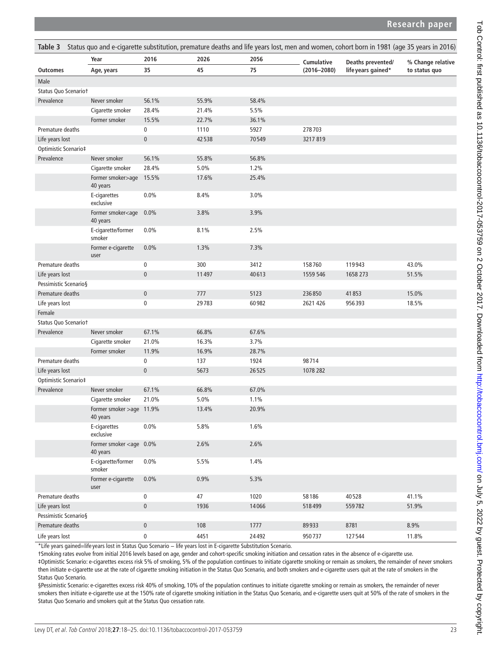# **Research paper**

<span id="page-5-0"></span>

| Status quo and e-cigarette substitution, premature deaths and life years lost, men and women, cohort born in 1981 (age 35 years in 2016)<br>Table 3 |                                              |             |       |       |                 |                    |                   |  |
|-----------------------------------------------------------------------------------------------------------------------------------------------------|----------------------------------------------|-------------|-------|-------|-----------------|--------------------|-------------------|--|
|                                                                                                                                                     | Year                                         | 2016        | 2026  | 2056  | Cumulative      | Deaths prevented/  | % Change relative |  |
| <b>Outcomes</b>                                                                                                                                     | Age, years                                   | 35          | 45    | 75    | $(2016 - 2080)$ | life years gained* | to status quo     |  |
| Male                                                                                                                                                |                                              |             |       |       |                 |                    |                   |  |
| Status Quo Scenariot                                                                                                                                |                                              |             |       |       |                 |                    |                   |  |
| Prevalence                                                                                                                                          | Never smoker                                 | 56.1%       | 55.9% | 58.4% |                 |                    |                   |  |
|                                                                                                                                                     | Cigarette smoker                             | 28.4%       | 21.4% | 5.5%  |                 |                    |                   |  |
|                                                                                                                                                     | Former smoker                                | 15.5%       | 22.7% | 36.1% |                 |                    |                   |  |
| Premature deaths                                                                                                                                    |                                              | 0           | 1110  | 5927  | 278703          |                    |                   |  |
| Life years lost                                                                                                                                     |                                              | $\pmb{0}$   | 42538 | 70549 | 3217819         |                    |                   |  |
| Optimistic Scenario‡                                                                                                                                |                                              |             |       |       |                 |                    |                   |  |
| Prevalence                                                                                                                                          | Never smoker                                 | 56.1%       | 55.8% | 56.8% |                 |                    |                   |  |
|                                                                                                                                                     | Cigarette smoker                             | 28.4%       | 5.0%  | 1.2%  |                 |                    |                   |  |
|                                                                                                                                                     | Former smoker>age 15.5%<br>40 years          |             | 17.6% | 25.4% |                 |                    |                   |  |
|                                                                                                                                                     | E-cigarettes<br>exclusive                    | 0.0%        | 8.4%  | 3.0%  |                 |                    |                   |  |
|                                                                                                                                                     | Former smoker <age<br>40 years</age<br>      | 0.0%        | 3.8%  | 3.9%  |                 |                    |                   |  |
|                                                                                                                                                     | E-cigarette/former<br>smoker                 | 0.0%        | 8.1%  | 2.5%  |                 |                    |                   |  |
|                                                                                                                                                     | Former e-cigarette<br>user                   | 0.0%        | 1.3%  | 7.3%  |                 |                    |                   |  |
| Premature deaths                                                                                                                                    |                                              | 0           | 300   | 3412  | 158760          | 119943             | 43.0%             |  |
| Life years lost                                                                                                                                     |                                              | $\pmb{0}$   | 11497 | 40613 | 1559 546        | 1658 273           | 51.5%             |  |
| Pessimistic Scenario§                                                                                                                               |                                              |             |       |       |                 |                    |                   |  |
| Premature deaths                                                                                                                                    |                                              | $\pmb{0}$   | 777   | 5123  | 236850          | 41853              | 15.0%             |  |
| Life years lost                                                                                                                                     |                                              | 0           | 29783 | 60982 | 2621 426        | 956393             | 18.5%             |  |
| Female                                                                                                                                              |                                              |             |       |       |                 |                    |                   |  |
| Status Quo Scenariot                                                                                                                                |                                              |             |       |       |                 |                    |                   |  |
| Prevalence                                                                                                                                          | Never smoker                                 | 67.1%       | 66.8% | 67.6% |                 |                    |                   |  |
|                                                                                                                                                     | Cigarette smoker                             | 21.0%       | 16.3% | 3.7%  |                 |                    |                   |  |
|                                                                                                                                                     | Former smoker                                | 11.9%       | 16.9% | 28.7% |                 |                    |                   |  |
| Premature deaths                                                                                                                                    |                                              | $\pmb{0}$   | 137   | 1924  | 98714           |                    |                   |  |
| Life years lost                                                                                                                                     |                                              | $\pmb{0}$   | 5673  | 26525 | 1078 282        |                    |                   |  |
| Optimistic Scenario‡                                                                                                                                |                                              |             |       |       |                 |                    |                   |  |
| Prevalence                                                                                                                                          | Never smoker                                 | 67.1%       | 66.8% | 67.0% |                 |                    |                   |  |
|                                                                                                                                                     | Cigarette smoker                             | 21.0%       | 5.0%  | 1.1%  |                 |                    |                   |  |
|                                                                                                                                                     | Former smoker >age 11.9%<br>40 years         |             | 13.4% | 20.9% |                 |                    |                   |  |
|                                                                                                                                                     | E-cigarettes<br>exclusive                    | 0.0%        | 5.8%  | 1.6%  |                 |                    |                   |  |
|                                                                                                                                                     | Former smoker <age 0.0%<br="">40 years</age> |             | 2.6%  | 2.6%  |                 |                    |                   |  |
|                                                                                                                                                     | E-cigarette/former<br>smoker                 | 0.0%        | 5.5%  | 1.4%  |                 |                    |                   |  |
|                                                                                                                                                     | Former e-cigarette<br>user                   | 0.0%        | 0.9%  | 5.3%  |                 |                    |                   |  |
| Premature deaths                                                                                                                                    |                                              | $\mathbf 0$ | 47    | 1020  | 58186           | 40528              | 41.1%             |  |
| Life years lost                                                                                                                                     |                                              | $\pmb{0}$   | 1936  | 14066 | 518499          | 559782             | 51.9%             |  |
| Pessimistic Scenario§                                                                                                                               |                                              |             |       |       |                 |                    |                   |  |
| Premature deaths                                                                                                                                    |                                              | $\pmb{0}$   | 108   | 1777  | 89933           | 8781               | 8.9%              |  |
| Life years lost                                                                                                                                     |                                              | $\pmb{0}$   | 4451  | 24492 | 950737          | 127544             | 11.8%             |  |

\*Life years gained=life years lost in Status Quo Scenario − life years lost in E-cigarette Substitution Scenario.

†Smoking rates evolve from initial 2016 levels based on age, gender and cohort-specific smoking initiation and cessation rates in the absence of e-cigarette use. ‡Optimistic Scenario: e-cigarettes excess risk 5% of smoking, 5% of the population continues to initiate cigarette smoking or remain as smokers, the remainder of never smokers then initiate e-cigarette use at the rate of cigarette smoking initiation in the Status Quo Scenario, and both smokers and e-cigarette users quit at the rate of smokers in the Status Quo Scenario.

§Pessimistic Scenario: e-cigarettes excess risk 40% of smoking, 10% of the population continues to initiate cigarette smoking or remain as smokers, the remainder of never smokers then initiate e-cigarette use at the 150% rate of cigarette smoking initiation in the Status Quo Scenario, and e-cigarette users quit at 50% of the rate of smokers in the Status Quo Scenario and smokers quit at the Status Quo cessation rate.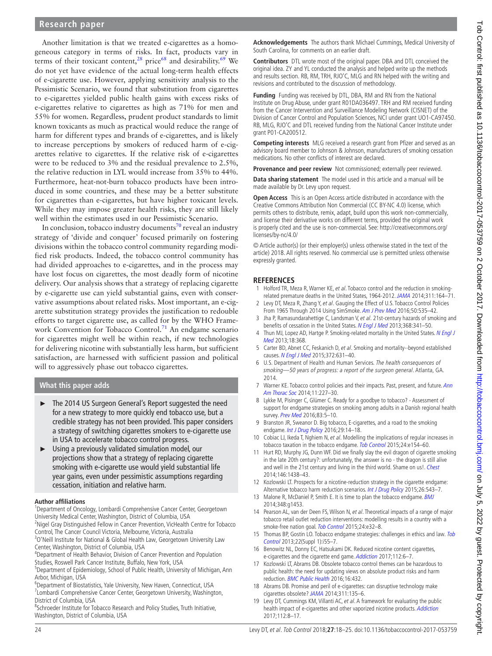Another limitation is that we treated e-cigarettes as a homogeneous category in terms of risks. In fact, products vary in terms of their toxicant content,<sup>28</sup> price<sup>68</sup> and desirability.<sup>69</sup> We do not yet have evidence of the actual long-term health effects of e-cigarette use. However, applying sensitivity analysis to the Pessimistic Scenario, we found that substitution from cigarettes to e-cigarettes yielded public health gains with excess risks of e-cigarettes relative to cigarettes as high as 71% for men and 55% for women. Regardless, prudent product standards to limit known toxicants as much as practical would reduce the range of harm for different types and brands of e-cigarettes, and is likely to increase perceptions by smokers of reduced harm of e-cigarettes relative to cigarettes. If the relative risk of e-cigarettes were to be reduced to 3% and the residual prevalence to 2.5%, the relative reduction in LYL would increase from 35% to 44%. Furthermore, heat-not-burn tobacco products have been introduced in some countries, and these may be a better substitute for cigarettes than e-cigarettes, but have higher toxicant levels. While they may impose greater health risks, they are still likely well within the estimates used in our Pessimistic Scenario.

In conclusion, tobacco industry documents<sup>70</sup> reveal an industry strategy of 'divide and conquer' focused primarily on fostering divisions within the tobacco control community regarding modified risk products. Indeed, the tobacco control community has had divided approaches to e-cigarettes, and in the process may have lost focus on cigarettes, the most deadly form of nicotine delivery. Our analysis shows that a strategy of replacing cigarette by e-cigarette use can yield substantial gains, even with conservative assumptions about related risks. Most important, an e-cigarette substitution strategy provides the justification to redouble efforts to target cigarette use, as called for by the WHO Frame-work Convention for Tobacco Control.<sup>[71](#page-7-25)</sup> An endgame scenario for cigarettes might well be within reach, if new technologies for delivering nicotine with substantially less harm, but sufficient satisfaction, are harnessed with sufficient passion and political will to aggressively phase out tobacco cigarettes.

**What this paper adds**

- ► The 2014 US Surgeon General's Report suggested the need for a new strategy to more quickly end tobacco use, but a credible strategy has not been provided. This paper considers a strategy of switching cigarettes smokers to e-cigarette use in USA to accelerate tobacco control progress.
- ► Using a previously validated simulation model, our projections show that a strategy of replacing cigarette smoking with e-cigarette use would yield substantial life year gains, even under pessimistic assumptions regarding cessation, initiation and relative harm.

#### **Author affiliations**

<sup>1</sup>Department of Oncology, Lombardi Comprehensive Cancer Center, Georgetown University Medical Center, Washington, District of Columbia, USA

<sup>2</sup>Nigel Gray Distinguished Fellow in Cancer Prevention, VicHealth Centre for Tobacco Control, The Cancer Council Victoria, Melbourne, Victoria, Australia

<sup>3</sup>O'Neill Institute for National & Global Health Law, Georgetown University Law Center, Washington, District of Columbia, USA

4 Department of Health Behavior, Division of Cancer Prevention and Population Studies, Roswell Park Cancer Institute, Buffalo, New York, USA

<sup>5</sup>Department of Epidemiology, School of Public Health, University of Michigan, Ann Arbor, Michigan, USA

<sup>6</sup>Department of Biostatistics, Yale University, New Haven, Connecticut, USA <sup>7</sup> Lombardi Comprehensive Cancer Center, Georgetown University, Washington, District of Columbia, USA

<sup>8</sup>Schroeder Institute for Tobacco Research and Policy Studies, Truth Initiative, Washington, District of Columbia, USA

**Acknowledgements** The authors thank Michael Cummings, Medical University of South Carolina, for comments on an earlier draft.

**Contributors** DTL wrote most of the original paper. DBA and DTL conceived the original idea. ZY and YL conducted the analysis and helped write up the methods and results section. RB, RM, TRH, RJO'C, MLG and RN helped with the writing and revisions and contributed to the discussion of methodology.

**Funding** Funding was received by DTL, DBA, RM and RN from the National Institute on Drug Abuse, under grant R01DA036497. TRH and RM received funding from the Cancer Intervention and Surveillance Modeling Network (CISNET) of the Division of Cancer Control and Population Sciences, NCI under grant UO1-CA97450. RB, MLG, RJO'C and DTL received funding from the National Cancer Institute under grant P01-CA200512.

**Competing interests** MLG received a research grant from Pfizer and served as an advisory board member to Johnson & Johnson, manufacturers of smoking cessation medications. No other conflicts of interest are declared.

**Provenance and peer review** Not commissioned; externally peer reviewed.

**Data sharing statement** The model used in this article and a manual will be made available by Dr. Levy upon request.

**Open Access** This is an Open Access article distributed in accordance with the Creative Commons Attribution Non Commercial (CC BY-NC 4.0) license, which permits others to distribute, remix, adapt, build upon this work non-commercially, and license their derivative works on different terms, provided the original work is properly cited and the use is non-commercial. See: [http://creativecommons.org/](http://creativecommons.org/licenses/by-nc/4.0/) [licenses/by-nc/4.0/](http://creativecommons.org/licenses/by-nc/4.0/)

© Article author(s) (or their employer(s) unless otherwise stated in the text of the article) 2018. All rights reserved. No commercial use is permitted unless otherwise expressly granted.

### **References**

- <span id="page-6-0"></span>1 Holford TR, Meza R, Warner KE, et al. Tobacco control and the reduction in smokingrelated premature deaths in the United States, 1964-2012. [JAMA](http://dx.doi.org/10.1001/jama.2013.285112) 2014;311:164–71.
- 2 Levy DT, Meza R, Zhang Y, et al. Gauging the Effect of U.S. Tobacco Control Policies From 1965 Through 2014 Using SimSmoke. [Am J Prev Med](http://dx.doi.org/10.1016/j.amepre.2015.10.001) 2016;50:535-42.
- <span id="page-6-1"></span>3 Jha P, Ramasundarahettige C, Landsman V, et al. 21st-century hazards of smoking and benefits of cessation in the United States. [N Engl J Med](http://dx.doi.org/10.1056/NEJMsa1211128) 2013;368:341-50.
- 4 Thun MJ, Lopez AD, Hartge P. Smoking-related mortality in the United States. N Engl J Med 2013;18:368.
- 5 Carter BD, Abnet CC, Feskanich D, et al. Smoking and mortality--beyond established causes. [N Engl J Med](http://dx.doi.org/10.1056/NEJMsa1407211) 2015;372:631-40.
- <span id="page-6-2"></span>6 U.S. Department of Health and Human Services. The health consequences of smoking—50 years of progress: a report of the surgeon general. Atlanta, GA. 2014.
- <span id="page-6-4"></span>7 Warner KE. Tobacco control policies and their impacts. Past, present, and future. Ann [Am Thorac Soc](http://dx.doi.org/10.1513/AnnalsATS.201307-244PS) 2014;11:227–30.
- <span id="page-6-3"></span>8 Lykke M, Pisinger C, Glümer C. Ready for a goodbye to tobacco? - Assessment of support for endgame strategies on smoking among adults in a Danish regional health survey. [Prev Med](http://dx.doi.org/10.1016/j.ypmed.2015.11.016) 2016;83:5-10.
- 9 Branston JR, Sweanor D. Big tobacco, E-cigarettes, and a road to the smoking endgame. [Int J Drug Policy](http://dx.doi.org/10.1016/j.drugpo.2015.12.023) 2016;29:14-18.
- <span id="page-6-7"></span>10 Cobiac LJ, Ikeda T, Nghiem N, et al. Modelling the implications of regular increases in tobacco taxation in the tobacco endgame. [Tob Control](http://dx.doi.org/10.1136/tobaccocontrol-2014-051543) 2015;24:e154-60.
- 11 Hurt RD, Murphy JG, Dunn WF. Did we finally slay the evil dragon of cigarette smoking in the late 20th century?: unfortunately, the answer is no - the dragon is still alive and well in the 21st century and living in the third world. Shame on us!. [Chest](http://dx.doi.org/10.1378/chest.13-2804) 2014;146:1438–43.
- 12 Kozlowski LT. Prospects for a nicotine-reduction strategy in the cigarette endgame: Alternative tobacco harm reduction scenarios. [Int J Drug Policy](http://dx.doi.org/10.1016/j.drugpo.2015.02.001) 2015;26:543-7.
- 13 Malone R, McDaniel P, Smith E. It is time to plan the tobacco endgame. [BMJ](http://dx.doi.org/10.1136/bmj.g1453) 2014;348:g1453.
- 14 Pearson AL, van der Deen FS, Wilson N, et al. Theoretical impacts of a range of major tobacco retail outlet reduction interventions: modelling results in a country with a smoke-free nation goal. [Tob Control](http://dx.doi.org/10.1136/tobaccocontrol-2013-051362) 2015;24:e32-8.
- 15 Thomas BP, Gostin LO. Tobacco endgame strategies: challenges in ethics and law. Tob [Control](http://dx.doi.org/10.1136/tobaccocontrol-2012-050839) 2013;22(Suppl 1):i55–7.
- <span id="page-6-8"></span>16 Benowitz NL, Donny EC, Hatsukami DK. Reduced nicotine content cigarettes, e-cigarettes and the cigarette end game. [Addiction](http://dx.doi.org/10.1111/add.13534) 2017;112:6-7.
- <span id="page-6-5"></span>17 Kozlowski LT, Abrams DB. Obsolete tobacco control themes can be hazardous to public health: the need for updating views on absolute product risks and harm reduction. **[BMC Public Health](http://dx.doi.org/10.1186/s12889-016-3079-9) 2016**; 16:432.
- 18 Abrams DB. Promise and peril of e-cigarettes: can disruptive technology make cigarettes obsolete? [JAMA](http://dx.doi.org/10.1001/jama.2013.285347) 2014;311:135–6.
- <span id="page-6-6"></span>Levy DT, Cummings KM, Villanti AC, et al. A framework for evaluating the public health impact of e-cigarettes and other vaporized nicotine products. [Addiction](http://dx.doi.org/10.1111/add.13394) 2017;112:8–17.